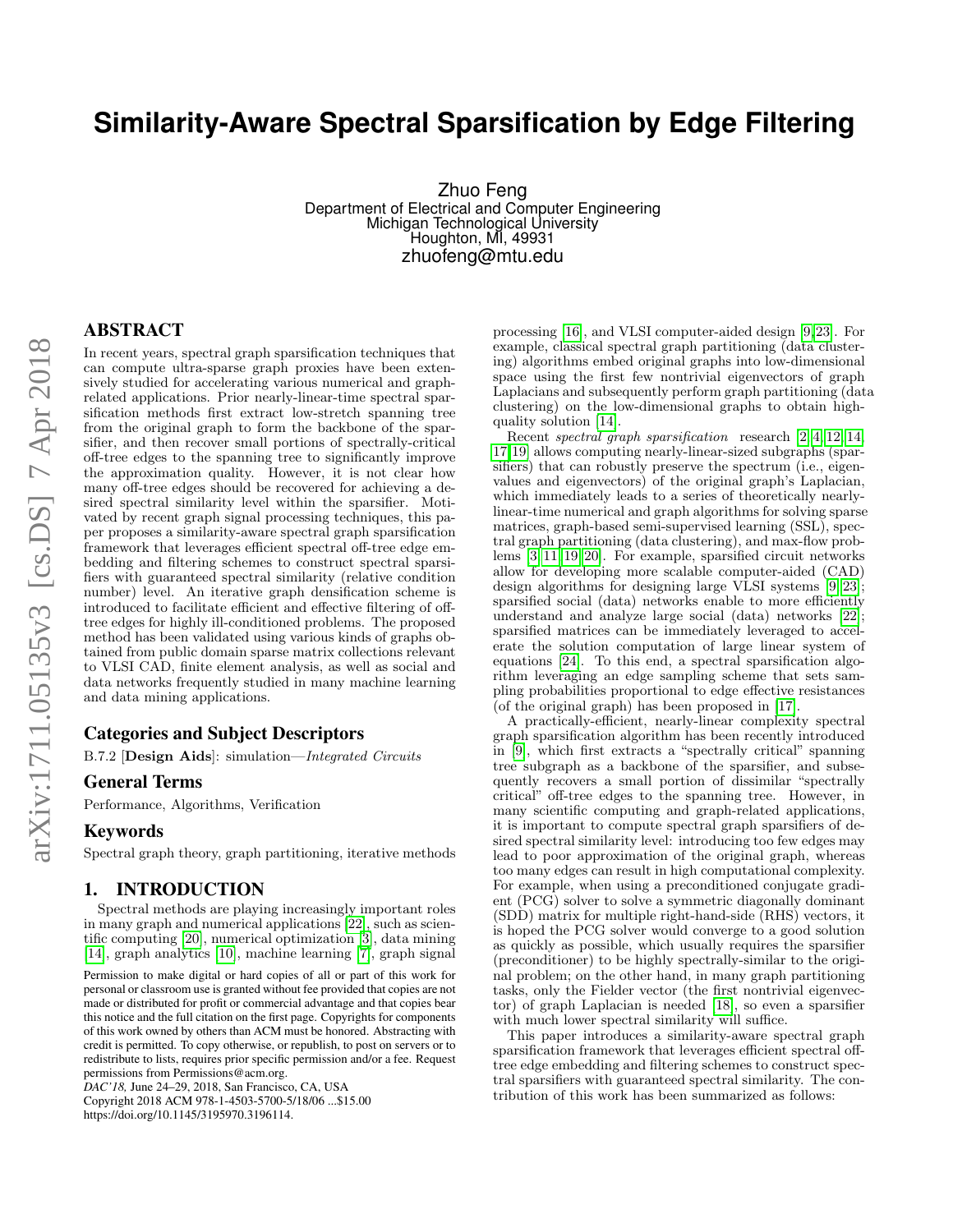# **Similarity-Aware Spectral Sparsification by Edge Filtering**

Zhuo Feng Department of Electrical and Computer Engineering Michigan Technological University Houghton, MI, 49931 zhuofeng@mtu.edu

In recent years, spectral graph sparsification techniques that can compute ultra-sparse graph proxies have been extensively studied for accelerating various numerical and graphrelated applications. Prior nearly-linear-time spectral sparsification methods first extract low-stretch spanning tree from the original graph to form the backbone of the sparsifier, and then recover small portions of spectrally-critical off-tree edges to the spanning tree to significantly improve the approximation quality. However, it is not clear how many off-tree edges should be recovered for achieving a desired spectral similarity level within the sparsifier. Motivated by recent graph signal processing techniques, this paper proposes a similarity-aware spectral graph sparsification framework that leverages efficient spectral off-tree edge embedding and filtering schemes to construct spectral sparsifiers with guaranteed spectral similarity (relative condition number) level. An iterative graph densification scheme is introduced to facilitate efficient and effective filtering of offtree edges for highly ill-conditioned problems. The proposed method has been validated using various kinds of graphs obtained from public domain sparse matrix collections relevant to VLSI CAD, finite element analysis, as well as social and data networks frequently studied in many machine learning and data mining applications.

# Categories and Subject Descriptors

B.7.2 [Design Aids]: simulation—Integrated Circuits

### General Terms

Performance, Algorithms, Verification

# Keywords

Spectral graph theory, graph partitioning, iterative methods

### 1. INTRODUCTION

Spectral methods are playing increasingly important roles in many graph and numerical applications [\[22\]](#page-5-0), such as scientific computing [\[20\]](#page-5-1), numerical optimization [\[3\]](#page-5-2), data mining [\[14\]](#page-5-3), graph analytics [\[10\]](#page-5-4), machine learning [\[7\]](#page-5-5), graph signal

*DAC'18,* June 24–29, 2018, San Francisco, CA, USA Copyright 2018 ACM 978-1-4503-5700-5/18/06 ...\$15.00 https://doi.org/10.1145/3195970.3196114.

processing [\[16\]](#page-5-6), and VLSI computer-aided design [\[9,](#page-5-7)[23\]](#page-5-8). For example, classical spectral graph partitioning (data clustering) algorithms embed original graphs into low-dimensional space using the first few nontrivial eigenvectors of graph Laplacians and subsequently perform graph partitioning (data clustering) on the low-dimensional graphs to obtain highquality solution [\[14\]](#page-5-3).

Recent spectral graph sparsification research [\[2,](#page-5-9) [4,](#page-5-10) [12,](#page-5-11) [14,](#page-5-3) [17,](#page-5-12)[19\]](#page-5-13) allows computing nearly-linear-sized subgraphs (sparsifiers) that can robustly preserve the spectrum (i.e., eigenvalues and eigenvectors) of the original graph's Laplacian, which immediately leads to a series of theoretically nearlylinear-time numerical and graph algorithms for solving sparse matrices, graph-based semi-supervised learning (SSL), spectral graph partitioning (data clustering), and max-flow problems [\[3,](#page-5-2) [11,](#page-5-14) [19,](#page-5-13) [20\]](#page-5-1). For example, sparsified circuit networks allow for developing more scalable computer-aided (CAD) design algorithms for designing large VLSI systems [\[9,](#page-5-7) [23\]](#page-5-8); sparsified social (data) networks enable to more efficiently understand and analyze large social (data) networks [\[22\]](#page-5-0); sparsified matrices can be immediately leveraged to accelerate the solution computation of large linear system of equations [\[24\]](#page-5-15). To this end, a spectral sparsification algorithm leveraging an edge sampling scheme that sets sampling probabilities proportional to edge effective resistances (of the original graph) has been proposed in [\[17\]](#page-5-12).

A practically-efficient, nearly-linear complexity spectral graph sparsification algorithm has been recently introduced in [\[9\]](#page-5-7), which first extracts a "spectrally critical" spanning tree subgraph as a backbone of the sparsifier, and subsequently recovers a small portion of dissimilar "spectrally critical" off-tree edges to the spanning tree. However, in many scientific computing and graph-related applications, it is important to compute spectral graph sparsifiers of desired spectral similarity level: introducing too few edges may lead to poor approximation of the original graph, whereas too many edges can result in high computational complexity. For example, when using a preconditioned conjugate gradient (PCG) solver to solve a symmetric diagonally dominant (SDD) matrix for multiple right-hand-side (RHS) vectors, it is hoped the PCG solver would converge to a good solution as quickly as possible, which usually requires the sparsifier (preconditioner) to be highly spectrally-similar to the original problem; on the other hand, in many graph partitioning tasks, only the Fielder vector (the first nontrivial eigenvector) of graph Laplacian is needed [\[18\]](#page-5-16), so even a sparsifier with much lower spectral similarity will suffice.

This paper introduces a similarity-aware spectral graph sparsification framework that leverages efficient spectral offtree edge embedding and filtering schemes to construct spectral sparsifiers with guaranteed spectral similarity. The contribution of this work has been summarized as follows:

Permission to make digital or hard copies of all or part of this work for personal or classroom use is granted without fee provided that copies are not made or distributed for profit or commercial advantage and that copies bear this notice and the full citation on the first page. Copyrights for components of this work owned by others than ACM must be honored. Abstracting with credit is permitted. To copy otherwise, or republish, to post on servers or to redistribute to lists, requires prior specific permission and/or a fee. Request permissions from Permissions@acm.org.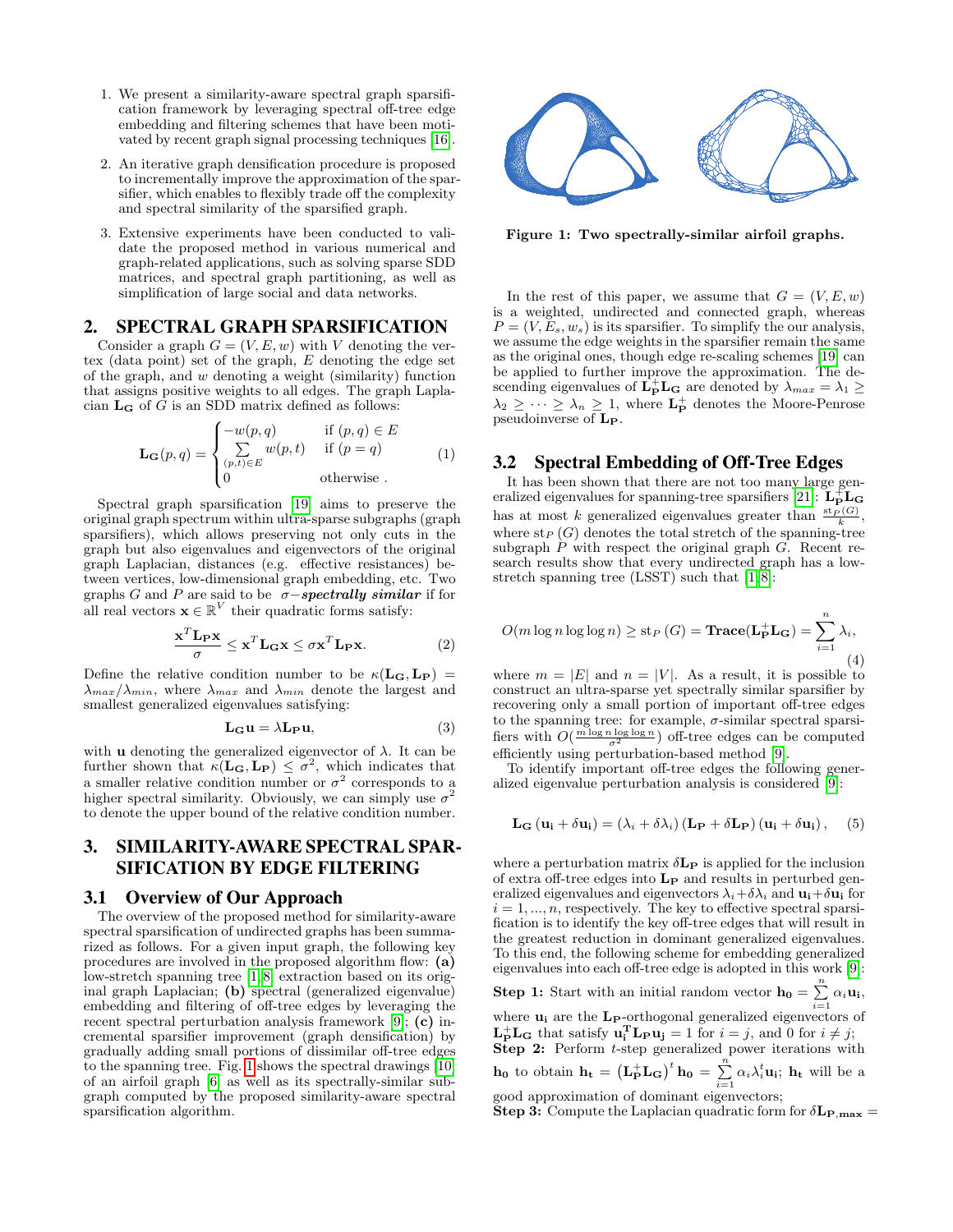- 1. We present a similarity-aware spectral graph sparsification framework by leveraging spectral off-tree edge embedding and filtering schemes that have been motivated by recent graph signal processing techniques [\[16\]](#page-5-6).
- 2. An iterative graph densification procedure is proposed to incrementally improve the approximation of the sparsifier, which enables to flexibly trade off the complexity and spectral similarity of the sparsified graph.
- 3. Extensive experiments have been conducted to validate the proposed method in various numerical and graph-related applications, such as solving sparse SDD matrices, and spectral graph partitioning, as well as simplification of large social and data networks.

# 2. SPECTRAL GRAPH SPARSIFICATION

Consider a graph  $G = (V, E, w)$  with V denoting the vertex (data point) set of the graph, E denoting the edge set of the graph, and  $w$  denoting a weight (similarity) function that assigns positive weights to all edges. The graph Laplacian  $L_G$  of G is an SDD matrix defined as follows:

$$
\mathbf{L}_{\mathbf{G}}(p,q) = \begin{cases}\n-w(p,q) & \text{if } (p,q) \in E \\
\sum_{(p,t) \in E} w(p,t) & \text{if } (p=q) \\
0 & \text{otherwise}\n\end{cases}
$$
\n(1)

Spectral graph sparsification [\[19\]](#page-5-13) aims to preserve the original graph spectrum within ultra-sparse subgraphs (graph sparsifiers), which allows preserving not only cuts in the graph but also eigenvalues and eigenvectors of the original graph Laplacian, distances (e.g. effective resistances) between vertices, low-dimensional graph embedding, etc. Two graphs G and P are said to be  $\sigma$ -spectrally similar if for all real vectors  $\mathbf{x} \in \mathbb{R}^V$  their quadratic forms satisfy:

$$
\frac{\mathbf{x}^T \mathbf{L}_P \mathbf{x}}{\sigma} \leq \mathbf{x}^T \mathbf{L}_G \mathbf{x} \leq \sigma \mathbf{x}^T \mathbf{L}_P \mathbf{x}.
$$
 (2)

Define the relative condition number to be  $\kappa(L_{\mathbf{G}}, L_{\mathbf{P}})$  =  $\lambda_{max}/\lambda_{min}$ , where  $\lambda_{max}$  and  $\lambda_{min}$  denote the largest and smallest generalized eigenvalues satisfying:

$$
\mathbf{L}_{\mathbf{G}}\mathbf{u} = \lambda \mathbf{L}_{\mathbf{P}}\mathbf{u},\tag{3}
$$

with **u** denoting the generalized eigenvector of  $\lambda$ . It can be further shown that  $\kappa(L_{\mathbf{G}}, L_{\mathbf{P}}) \leq \sigma^2$ , which indicates that a smaller relative condition number or  $\sigma^2$  corresponds to a higher spectral similarity. Obviously, we can simply use  $\sigma^2$ to denote the upper bound of the relative condition number.

# 3. SIMILARITY-AWARE SPECTRAL SPAR-SIFICATION BY EDGE FILTERING

### 3.1 Overview of Our Approach

The overview of the proposed method for similarity-aware spectral sparsification of undirected graphs has been summarized as follows. For a given input graph, the following key procedures are involved in the proposed algorithm flow: (a) low-stretch spanning tree [\[1,](#page-5-17) [8\]](#page-5-18) extraction based on its original graph Laplacian; (b) spectral (generalized eigenvalue) embedding and filtering of off-tree edges by leveraging the recent spectral perturbation analysis framework [\[9\]](#page-5-7); (c) incremental sparsifier improvement (graph densification) by gradually adding small portions of dissimilar off-tree edges to the spanning tree. Fig. [1](#page-1-0) shows the spectral drawings [\[10\]](#page-5-4) of an airfoil graph [\[6\]](#page-5-19) as well as its spectrally-similar subgraph computed by the proposed similarity-aware spectral sparsification algorithm.



<span id="page-1-0"></span>Figure 1: Two spectrally-similar airfoil graphs.

In the rest of this paper, we assume that  $G = (V, E, w)$ is a weighted, undirected and connected graph, whereas  $P = (V, E_s, w_s)$  is its sparsifier. To simplify the our analysis, we assume the edge weights in the sparsifier remain the same as the original ones, though edge re-scaling schemes [\[19\]](#page-5-13) can be applied to further improve the approximation. The descending eigenvalues of  $\mathbf{L}_{\mathbf{P}}^{\dagger} \mathbf{L}_{\mathbf{G}}$  are denoted by  $\lambda_{max} = \lambda_1 \geq$  $\lambda_2 \geq \cdots \geq \lambda_n \geq 1$ , where  $\mathbf{L}_{\mathbf{P}}^+$  denotes the Moore-Penrose pseudoinverse of LP.

### 3.2 Spectral Embedding of Off-Tree Edges

It has been shown that there are not too many large gen-eralized eigenvalues for spanning-tree sparsifiers [\[21\]](#page-5-20):  $\mathbf{L}_\mathbf{P}^{\perp}\mathbf{L}_\mathbf{G}$ has at most k generalized eigenvalues greater than  $\frac{\text{st}_P(G)}{k}$ , where  $\text{st}_P(G)$  denotes the total stretch of the spanning-tree subgraph  $\hat{P}$  with respect the original graph  $\hat{G}$ . Recent research results show that every undirected graph has a lowstretch spanning tree  $(LSST)$  such that  $[1, 8]$  $[1, 8]$ :

$$
O(m \log n \log \log n) \ge \text{st}_P(G) = \text{Trace}(\mathbf{L}_{\mathbf{P}}^{\perp} \mathbf{L}_{\mathbf{G}}) = \sum_{i=1}^{n} \lambda_i,
$$
\n(4)

where  $m = |E|$  and  $n = |V|$ . As a result, it is possible to construct an ultra-sparse yet spectrally similar sparsifier by recovering only a small portion of important off-tree edges to the spanning tree: for example,  $\sigma$ -similar spectral sparsifiers with  $O(\frac{m \log n \log \log n}{\sigma^2})$  off-tree edges can be computed efficiently using perturbation-based method [\[9\]](#page-5-7).

To identify important off-tree edges the following generalized eigenvalue perturbation analysis is considered [\[9\]](#page-5-7):

$$
\mathbf{L}_{\mathbf{G}}\left(\mathbf{u}_{i} + \delta \mathbf{u}_{i}\right) = \left(\lambda_{i} + \delta \lambda_{i}\right)\left(\mathbf{L}_{\mathbf{P}} + \delta \mathbf{L}_{\mathbf{P}}\right)\left(\mathbf{u}_{i} + \delta \mathbf{u}_{i}\right),\quad(5)
$$

where a perturbation matrix  $\delta \mathbf{L}_{\mathbf{P}}$  is applied for the inclusion of extra off-tree edges into  $L_P$  and results in perturbed generalized eigenvalues and eigenvectors  $\lambda_i + \delta \lambda_i$  and  $\mathbf{u_i} + \delta \mathbf{u_i}$  for  $i = 1, \ldots, n$ , respectively. The key to effective spectral sparsification is to identify the key off-tree edges that will result in the greatest reduction in dominant generalized eigenvalues. To this end, the following scheme for embedding generalized eigenvalues into each off-tree edge is adopted in this work [\[9\]](#page-5-7): **Step 1:** Start with an initial random vector  $\mathbf{h_0} = \sum_{i=1}^{n} \alpha_i \mathbf{u_i}$ , where  $\mathbf{u}_i$  are the L<sub>P</sub>-orthogonal generalized eigenvectors of

 $\mathbf{L}_{\mathbf{P}}^{+}\mathbf{L}_{\mathbf{G}}$  that satisfy  $\mathbf{u}_{i}^{T}\mathbf{L}_{\mathbf{P}}\mathbf{u}_{j} = 1$  for  $i = j$ , and 0 for  $i \neq j$ ; Step 2: Perform t-step generalized power iterations with

**h**<sub>0</sub> to obtain **h**<sub>t</sub> =  $(L_P^+ L_G)^t$ **h**<sub>0</sub> =  $\sum_{i=1}^n \alpha_i \lambda_i^t \mathbf{u}_i$ ; **h**<sub>t</sub> will be a good approximation of dominant eigenvectors;

**Step 3:** Compute the Laplacian quadratic form for  $\delta L_{P,\max}$  =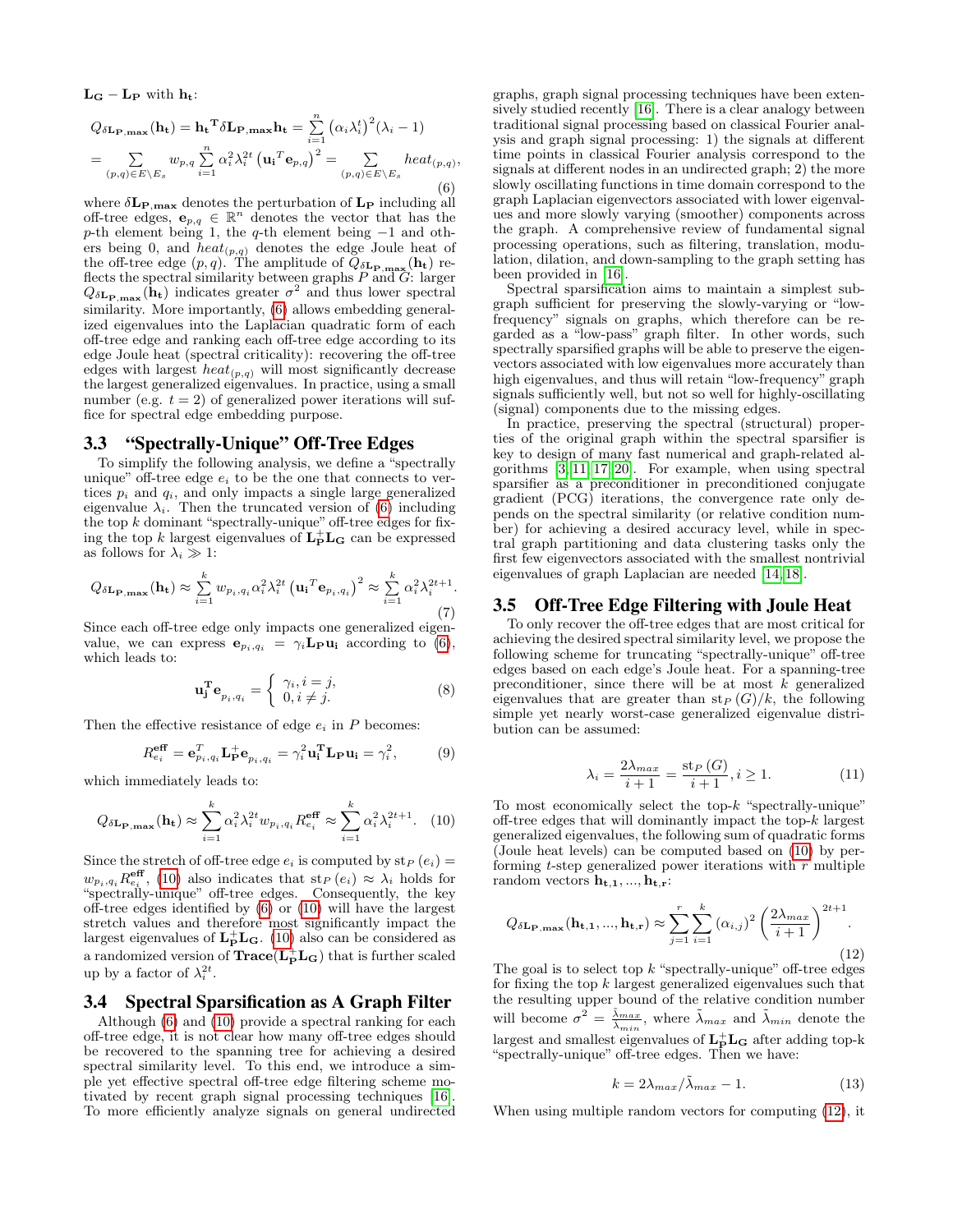$L_G - L_P$  with  $h_t$ :

<span id="page-2-0"></span>
$$
Q_{\delta \mathbf{L}_{\mathbf{P},\mathbf{max}}}(\mathbf{h}_{\mathbf{t}}) = \mathbf{h}_{\mathbf{t}}^{\mathbf{T}} \delta \mathbf{L}_{\mathbf{P},\mathbf{max}} \mathbf{h}_{\mathbf{t}} = \sum_{i=1}^{n} (\alpha_{i} \lambda_{i}^{t})^{2} (\lambda_{i} - 1)
$$
  
= 
$$
\sum_{(p,q) \in E \setminus E_{s}} w_{p,q} \sum_{i=1}^{n} \alpha_{i}^{2} \lambda_{i}^{2t} (\mathbf{u}_{i}^{T} \mathbf{e}_{p,q})^{2} = \sum_{(p,q) \in E \setminus E_{s}} heat_{(p,q)},
$$
(6)

where  $\delta L_{P,\text{max}}$  denotes the perturbation of  $L_P$  including all off-tree edges,  $\mathbf{e}_{p,q} \in \mathbb{R}^n$  denotes the vector that has the p-th element being 1, the q-th element being  $-1$  and others being 0, and  $heat_{(p,q)}$  denotes the edge Joule heat of the off-tree edge  $(p, q)$ . The amplitude of  $Q_{\delta \mathbf{L}_{\mathbf{P},\mathbf{max}}}(\mathbf{h}_{\mathbf{t}})$  reflects the spectral similarity between graphs  $P$  and  $G$ : larger  $Q_{\delta \mathbf{L}_{\mathbf{P},\mathbf{max}}}(\mathbf{h}_{t})$  indicates greater  $\sigma^2$  and thus lower spectral similarity. More importantly, [\(6\)](#page-2-0) allows embedding generalized eigenvalues into the Laplacian quadratic form of each off-tree edge and ranking each off-tree edge according to its edge Joule heat (spectral criticality): recovering the off-tree edges with largest  $heat_{(p,q)}$  will most significantly decrease the largest generalized eigenvalues. In practice, using a small number (e.g.  $t = 2$ ) of generalized power iterations will suffice for spectral edge embedding purpose.

# 3.3 "Spectrally-Unique" Off-Tree Edges

To simplify the following analysis, we define a "spectrally unique" off-tree edge  $e_i$  to be the one that connects to vertices  $p_i$  and  $q_i$ , and only impacts a single large generalized eigenvalue  $\lambda_i$ . Then the truncated version of [\(6\)](#page-2-0) including the top  $k$  dominant "spectrally-unique" off-tree edges for fixing the top k largest eigenvalues of  ${\bf L_P^+L_G}$  can be expressed as follows for  $\lambda_i \gg 1$ :

$$
Q_{\delta \mathbf{L}_{\mathbf{P},\mathbf{max}}}(\mathbf{h}_{t}) \approx \sum_{i=1}^{k} w_{p_{i},q_{i}} \alpha_{i}^{2} \lambda_{i}^{2t} (\mathbf{u}_{i}^{T} \mathbf{e}_{p_{i},q_{i}})^{2} \approx \sum_{i=1}^{k} \alpha_{i}^{2} \lambda_{i}^{2t+1}.
$$
\n(7)

Since each off-tree edge only impacts one generalized eigenvalue, we can express  $e_{p_i,q_i} = \gamma_i \mathbf{L_P} \mathbf{u_i}$  according to [\(6\)](#page-2-0), which leads to:

$$
\mathbf{u}_{\mathbf{j}}^{\mathbf{T}} \mathbf{e}_{p_i, q_i} = \begin{cases} \gamma_i, i = j, \\ 0, i \neq j. \end{cases}
$$
 (8)

Then the effective resistance of edge  $e_i$  in  $P$  becomes:

$$
R_{e_i}^{\text{eff}} = \mathbf{e}_{p_i, q_i}^T \mathbf{L}_P^+ \mathbf{e}_{p_i, q_i} = \gamma_i^2 \mathbf{u}_i^T \mathbf{L}_P \mathbf{u}_i = \gamma_i^2, \tag{9}
$$

which immediately leads to:

<span id="page-2-1"></span>
$$
Q_{\delta \mathbf{L}_{\mathbf{P},\mathbf{max}}}(\mathbf{h}_{t}) \approx \sum_{i=1}^{k} \alpha_{i}^{2} \lambda_{i}^{2t} w_{p_{i},q_{i}} R_{e_{i}}^{\text{eff}} \approx \sum_{i=1}^{k} \alpha_{i}^{2} \lambda_{i}^{2t+1}.
$$
 (10)

Since the stretch of off-tree edge  $e_i$  is computed by  $\text{st}_P (e_i) =$  $w_{p_i,q_i}R_{e_i}^{\text{eff}}$ , [\(10\)](#page-2-1) also indicates that st<sub>P</sub> (e<sub>i</sub>)  $\approx \lambda_i$  holds for "spectrally-unique" off-tree edges. Consequently, the key off-tree edges identified by [\(6\)](#page-2-0) or [\(10\)](#page-2-1) will have the largest stretch values and therefore most significantly impact the largest eigenvalues of  $L_P^+L_G$ . [\(10\)](#page-2-1) also can be considered as a randomized version of  $\textbf{Trace}(\mathbf{L}_{\mathbf{P}}^{+}\mathbf{L}_{\mathbf{G}})$  that is further scaled up by a factor of  $\lambda_i^{2t}$ .

# 3.4 Spectral Sparsification as A Graph Filter

Although [\(6\)](#page-2-0) and [\(10\)](#page-2-1) provide a spectral ranking for each off-tree edge, it is not clear how many off-tree edges should be recovered to the spanning tree for achieving a desired spectral similarity level. To this end, we introduce a simple yet effective spectral off-tree edge filtering scheme motivated by recent graph signal processing techniques [\[16\]](#page-5-6). To more efficiently analyze signals on general undirected graphs, graph signal processing techniques have been extensively studied recently [\[16\]](#page-5-6). There is a clear analogy between traditional signal processing based on classical Fourier analysis and graph signal processing: 1) the signals at different time points in classical Fourier analysis correspond to the signals at different nodes in an undirected graph; 2) the more slowly oscillating functions in time domain correspond to the graph Laplacian eigenvectors associated with lower eigenvalues and more slowly varying (smoother) components across the graph. A comprehensive review of fundamental signal processing operations, such as filtering, translation, modulation, dilation, and down-sampling to the graph setting has been provided in [\[16\]](#page-5-6).

Spectral sparsification aims to maintain a simplest subgraph sufficient for preserving the slowly-varying or "lowfrequency" signals on graphs, which therefore can be regarded as a "low-pass" graph filter. In other words, such spectrally sparsified graphs will be able to preserve the eigenvectors associated with low eigenvalues more accurately than high eigenvalues, and thus will retain "low-frequency" graph signals sufficiently well, but not so well for highly-oscillating (signal) components due to the missing edges.

In practice, preserving the spectral (structural) properties of the original graph within the spectral sparsifier is key to design of many fast numerical and graph-related algorithms  $[3, 11, 17, 20]$  $[3, 11, 17, 20]$  $[3, 11, 17, 20]$  $[3, 11, 17, 20]$ . For example, when using spectral sparsifier as a preconditioner in preconditioned conjugate gradient (PCG) iterations, the convergence rate only depends on the spectral similarity (or relative condition number) for achieving a desired accuracy level, while in spectral graph partitioning and data clustering tasks only the first few eigenvectors associated with the smallest nontrivial eigenvalues of graph Laplacian are needed [\[14,](#page-5-3) [18\]](#page-5-16).

# 3.5 Off-Tree Edge Filtering with Joule Heat

To only recover the off-tree edges that are most critical for achieving the desired spectral similarity level, we propose the following scheme for truncating "spectrally-unique" off-tree edges based on each edge's Joule heat. For a spanning-tree preconditioner, since there will be at most  $k$  generalized eigenvalues that are greater than  $\operatorname{st}_P(G)/k$ , the following simple yet nearly worst-case generalized eigenvalue distribution can be assumed:

$$
\lambda_i = \frac{2\lambda_{max}}{i+1} = \frac{\text{st}_P\left(G\right)}{i+1}, i \ge 1. \tag{11}
$$

To most economically select the top-k "spectrally-unique" off-tree edges that will dominantly impact the top- $k$  largest generalized eigenvalues, the following sum of quadratic forms (Joule heat levels) can be computed based on [\(10\)](#page-2-1) by performing  $t$ -step generalized power iterations with  $r$  multiple random vectors  $\mathbf{h}_{t,1},...,\mathbf{h}_{t,r}$ :

<span id="page-2-2"></span>
$$
Q_{\delta \mathbf{L}_{\mathbf{P}, \mathbf{max}}}(\mathbf{h}_{\mathbf{t},1},...,\mathbf{h}_{\mathbf{t},\mathbf{r}}) \approx \sum_{j=1}^{r} \sum_{i=1}^{k} (\alpha_{i,j})^2 \left(\frac{2\lambda_{max}}{i+1}\right)^{2t+1}.
$$
\n(12)

The goal is to select top  $k$  "spectrally-unique" off-tree edges for fixing the top  $k$  largest generalized eigenvalues such that the resulting upper bound of the relative condition number will become  $\sigma^2 = \frac{\tilde{\lambda}_{max}}{\tilde{\lambda}_{min}}$ , where  $\tilde{\lambda}_{max}$  and  $\tilde{\lambda}_{min}$  denote the largest and smallest eigenvalues of  $\mathbf{L}_\mathbf{P}^+\mathbf{L}_\mathbf{G}$  after adding top-k "spectrally-unique" off-tree edges. Then we have:

$$
k = 2\lambda_{max}/\tilde{\lambda}_{max} - 1.
$$
 (13)

When using multiple random vectors for computing [\(12\)](#page-2-2), it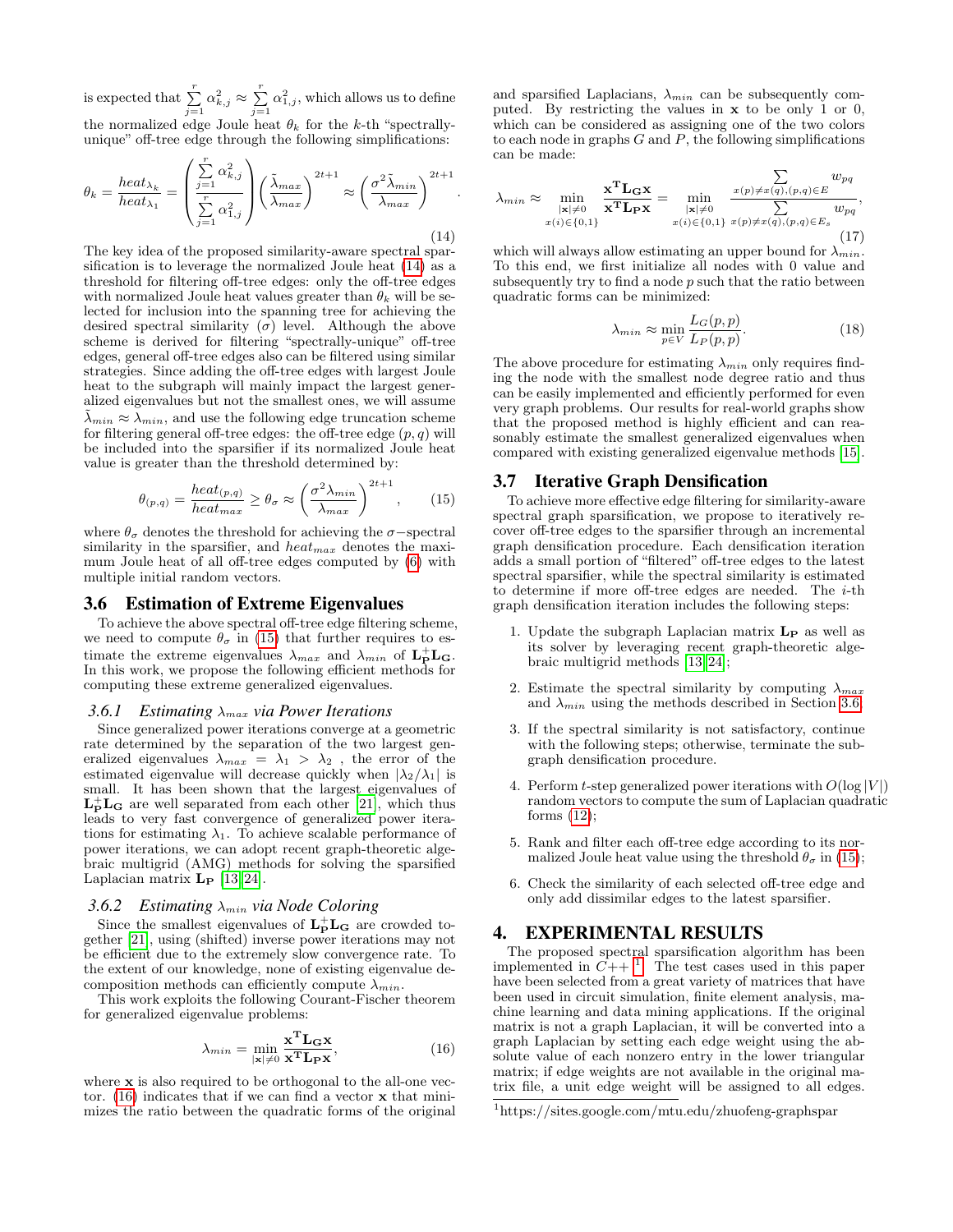is expected that  $\sum_{j=1}^r \alpha_{k,j}^2 \approx \sum_{j=1}^r \alpha_{1,j}^2$ , which allows us to define the normalized edge Joule heat  $\theta_k$  for the k-th "spectrallyunique" off-tree edge through the following simplifications:  $\sqrt{r}$ 

<span id="page-3-0"></span>
$$
\theta_k = \frac{heat_{\lambda_k}}{heat_{\lambda_1}} = \left(\frac{\sum_{j=1}^{r} \alpha_{k,j}^2}{\sum_{j=1}^{r} \alpha_{1,j}^2}\right) \left(\frac{\tilde{\lambda}_{max}}{\lambda_{max}}\right)^{2t+1} \approx \left(\frac{\sigma^2 \tilde{\lambda}_{min}}{\lambda_{max}}\right)^{2t+1}.
$$
\n(14)

The key idea of the proposed similarity-aware spectral sparsification is to leverage the normalized Joule heat [\(14\)](#page-3-0) as a threshold for filtering off-tree edges: only the off-tree edges with normalized Joule heat values greater than  $\theta_k$  will be selected for inclusion into the spanning tree for achieving the desired spectral similarity  $(\sigma)$  level. Although the above scheme is derived for filtering "spectrally-unique" off-tree edges, general off-tree edges also can be filtered using similar strategies. Since adding the off-tree edges with largest Joule heat to the subgraph will mainly impact the largest generalized eigenvalues but not the smallest ones, we will assume  $\tilde{\lambda}_{min} \approx \lambda_{min}$ , and use the following edge truncation scheme for filtering general off-tree edges: the off-tree edge  $(p, q)$  will be included into the sparsifier if its normalized Joule heat value is greater than the threshold determined by:

<span id="page-3-1"></span>
$$
\theta_{(p,q)} = \frac{heat_{(p,q)}}{heat_{max}} \ge \theta_{\sigma} \approx \left(\frac{\sigma^2 \lambda_{min}}{\lambda_{max}}\right)^{2t+1},\qquad(15)
$$

where  $\theta_{\sigma}$  denotes the threshold for achieving the  $\sigma$ -spectral similarity in the sparsifier, and  $heat_{max}$  denotes the maximum Joule heat of all off-tree edges computed by [\(6\)](#page-2-0) with multiple initial random vectors.

### <span id="page-3-3"></span>3.6 Estimation of Extreme Eigenvalues

To achieve the above spectral off-tree edge filtering scheme, we need to compute  $\theta_{\sigma}$  in [\(15\)](#page-3-1) that further requires to estimate the extreme eigenvalues  $\lambda_{max}$  and  $\lambda_{min}$  of  $L_P^+ L_G$ . In this work, we propose the following efficient methods for computing these extreme generalized eigenvalues.

#### *3.6.1 Estimating* λmax *via Power Iterations*

Since generalized power iterations converge at a geometric rate determined by the separation of the two largest generalized eigenvalues  $\lambda_{max} = \lambda_1 > \lambda_2$ , the error of the estimated eigenvalue will decrease quickly when  $|\lambda_2/\lambda_1|$  is small. It has been shown that the largest eigenvalues of  $L_P^+L_G$  are well separated from each other [\[21\]](#page-5-20), which thus leads to very fast convergence of generalized power iterations for estimating  $\lambda_1$ . To achieve scalable performance of power iterations, we can adopt recent graph-theoretic algebraic multigrid (AMG) methods for solving the sparsified Laplacian matrix  $\mathbf{L}_{\mathbf{P}}$  [\[13,](#page-5-21) [24\]](#page-5-15).

### *3.6.2 Estimating* λmin *via Node Coloring*

Since the smallest eigenvalues of  $L_P^+ L_G$  are crowded together [\[21\]](#page-5-20), using (shifted) inverse power iterations may not be efficient due to the extremely slow convergence rate. To the extent of our knowledge, none of existing eigenvalue decomposition methods can efficiently compute  $\lambda_{min}$ .

This work exploits the following Courant-Fischer theorem for generalized eigenvalue problems:

<span id="page-3-2"></span>
$$
\lambda_{min} = \min_{|\mathbf{x}| \neq 0} \frac{\mathbf{x}^{\mathbf{T}} \mathbf{L}_{\mathbf{G}} \mathbf{x}}{\mathbf{x}^{\mathbf{T}} \mathbf{L}_{\mathbf{P}} \mathbf{x}},\tag{16}
$$

where **x** is also required to be orthogonal to the all-one vector.  $(16)$  indicates that if we can find a vector **x** that minimizes the ratio between the quadratic forms of the original and sparsified Laplacians,  $\lambda_{min}$  can be subsequently computed. By restricting the values in x to be only 1 or 0, which can be considered as assigning one of the two colors to each node in graphs  $G$  and  $P$ , the following simplifications can be made:

$$
\lambda_{min} \approx \min_{\substack{|\mathbf{x}|\neq 0 \\ x(i) \in \{0,1\}}} \frac{\mathbf{x}^{\mathbf{T}} \mathbf{L}_{\mathbf{G}} \mathbf{x}}{\mathbf{x}^{\mathbf{T}} \mathbf{L}_{\mathbf{P}} \mathbf{x}} = \min_{\substack{|\mathbf{x}|\neq 0 \\ x(i) \in \{0,1\}}} \frac{\sum_{x(p)\neq x(q),(p,q)\in E} w_{pq}}{\sum_{y(p)\neq x(q),(p,q)\in E_s} w_{pq}},
$$
\n(17)

which will always allow estimating an upper bound for  $\lambda_{min}$ . To this end, we first initialize all nodes with 0 value and subsequently try to find a node  $p$  such that the ratio between quadratic forms can be minimized:

$$
\lambda_{min} \approx \min_{p \in V} \frac{L_G(p, p)}{L_P(p, p)}.
$$
\n(18)

The above procedure for estimating  $\lambda_{min}$  only requires finding the node with the smallest node degree ratio and thus can be easily implemented and efficiently performed for even very graph problems. Our results for real-world graphs show that the proposed method is highly efficient and can reasonably estimate the smallest generalized eigenvalues when compared with existing generalized eigenvalue methods [\[15\]](#page-5-22).

### 3.7 Iterative Graph Densification

To achieve more effective edge filtering for similarity-aware spectral graph sparsification, we propose to iteratively recover off-tree edges to the sparsifier through an incremental graph densification procedure. Each densification iteration adds a small portion of "filtered" off-tree edges to the latest spectral sparsifier, while the spectral similarity is estimated to determine if more off-tree edges are needed. The i-th graph densification iteration includes the following steps:

- 1. Update the subgraph Laplacian matrix  $L_P$  as well as its solver by leveraging recent graph-theoretic algebraic multigrid methods [\[13,](#page-5-21) [24\]](#page-5-15);
- 2. Estimate the spectral similarity by computing  $\lambda_{max}$ and  $\lambda_{min}$  using the methods described in Section [3.6;](#page-3-3)
- 3. If the spectral similarity is not satisfactory, continue with the following steps; otherwise, terminate the subgraph densification procedure.
- 4. Perform t-step generalized power iterations with  $O(\log |V|)$ random vectors to compute the sum of Laplacian quadratic forms  $(12)$ ;
- 5. Rank and filter each off-tree edge according to its normalized Joule heat value using the threshold  $\theta_{\sigma}$  in [\(15\)](#page-3-1);
- 6. Check the similarity of each selected off-tree edge and only add dissimilar edges to the latest sparsifier.

# 4. EXPERIMENTAL RESULTS

The proposed spectral sparsification algorithm has been implemented in  $\tilde{C}_{++}$ <sup>[1](#page-3-4)</sup>. The test cases used in this paper have been selected from a great variety of matrices that have been used in circuit simulation, finite element analysis, machine learning and data mining applications. If the original matrix is not a graph Laplacian, it will be converted into a graph Laplacian by setting each edge weight using the absolute value of each nonzero entry in the lower triangular matrix; if edge weights are not available in the original matrix file, a unit edge weight will be assigned to all edges.

<span id="page-3-4"></span><sup>1</sup>https://sites.google.com/mtu.edu/zhuofeng-graphspar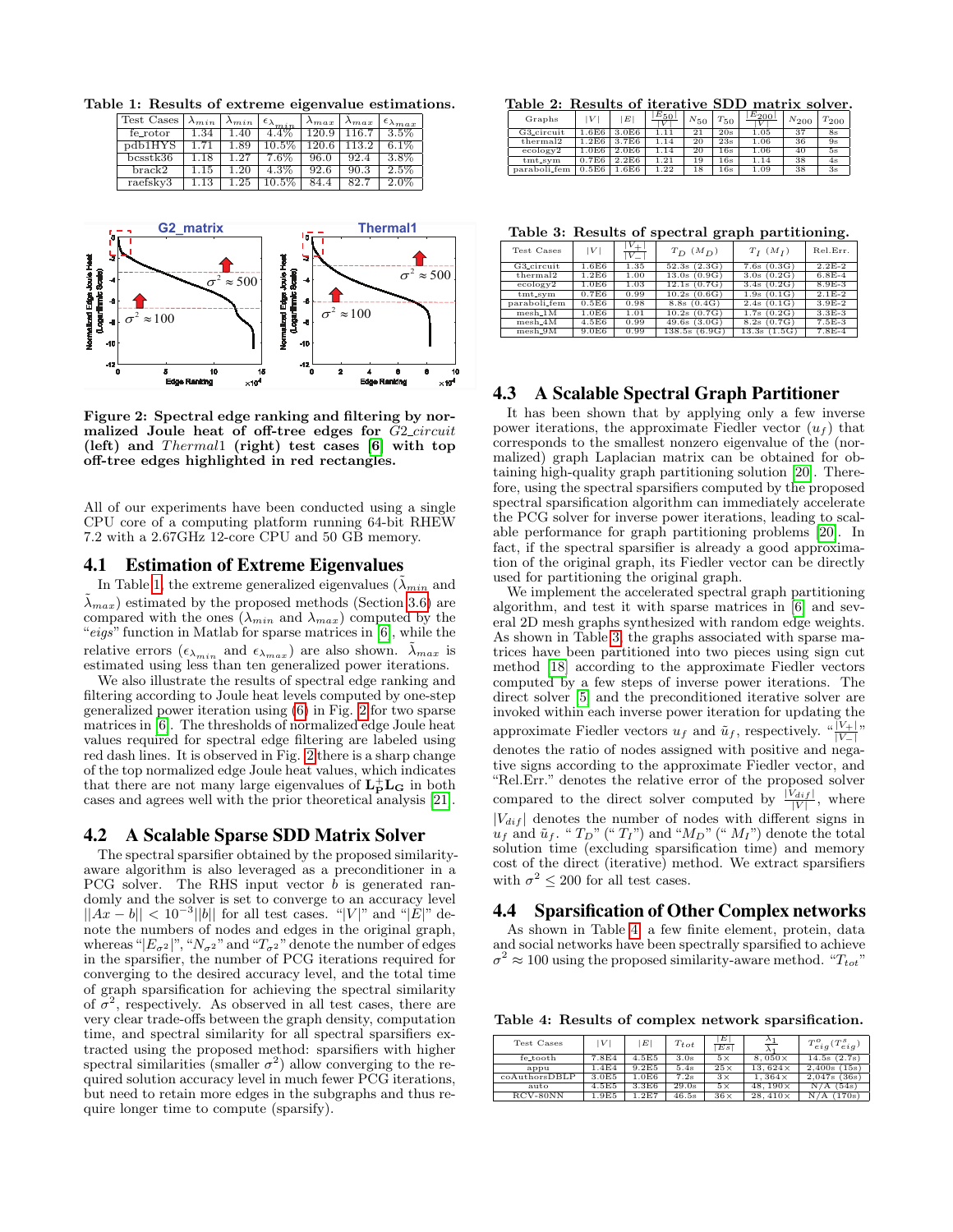Table 1: Results of extreme eigenvalue estimations.

<span id="page-4-0"></span>

| Test Cases | $\lambda_{min}$ | $\lambda_{min}$ | $+\epsilon_{\lambda_{min}}$ . | $\lambda_{max}$ | $\lambda_{max}$ | $\epsilon_{\lambda max}$ |
|------------|-----------------|-----------------|-------------------------------|-----------------|-----------------|--------------------------|
| fe_rotor   | 1.34            | 1.40            | $4.4\%$                       | 120.9           | 116.7           | $3.5\%$                  |
| pdb1HYS    |                 | 1.89            | $10.5\%$                      | 120.6           | 113.2           | $6.1\%$                  |
| bcsstk36   |                 | 27              | $7.6\%$                       | 96.0            | 92.4            | $3.8\%$                  |
| $brac{R2}$ | 1.15            |                 | 4.3%                          | 92.6            | 90.3            | $2.5\%$                  |
| raefsky3   |                 | 1.25            | $10.5\%$                      | 84.4            | 82.7            | $2.0\%$                  |



<span id="page-4-1"></span>**Not too many large generalized eigenvalues!** Figure 2: Spectral edge ranking and filtering by normalized Joule heat of off-tree edges for G2\_circuit (left) and  $Thermal1$  (right) test cases [\[6\]](#page-5-19) with top off-tree edges highlighted in red rectangles.

All of our experiments have been conducted using a single CPU core of a computing platform running 64-bit RHEW 7.2 with a 2.67GHz 12-core CPU and 50 GB memory.

### 4.1 Estimation of Extreme Eigenvalues

In Table [1,](#page-4-0) the extreme generalized eigenvalues ( $\lambda_{min}$  and  $\lambda_{max}$ ) estimated by the proposed methods (Section [3.6\)](#page-3-3) are compared with the ones  $(\lambda_{min}$  and  $\lambda_{max})$  computed by the "eigs" function in Matlab for sparse matrices in  $[6]$ , while the relative errors  $(\epsilon_{\lambda_{min}}$  and  $\epsilon_{\lambda_{max}})$  are also shown.  $\tilde{\lambda}_{max}$  is estimated using less than ten generalized power iterations.

We also illustrate the results of spectral edge ranking and filtering according to Joule heat levels computed by one-step generalized power iteration using [\(6\)](#page-2-0) in Fig. [2](#page-4-1) for two sparse matrices in [\[6\]](#page-5-19). The thresholds of normalized edge Joule heat values required for spectral edge filtering are labeled using red dash lines. It is observed in Fig. [2](#page-4-1) there is a sharp change of the top normalized edge Joule heat values, which indicates that there are not many large eigenvalues of  $\mathbf{L}_\mathbf{P}^+\mathbf{L}_\mathbf{G}$  in both cases and agrees well with the prior theoretical analysis [\[21\]](#page-5-20).

### 4.2 A Scalable Sparse SDD Matrix Solver

The spectral sparsifier obtained by the proposed similarityaware algorithm is also leveraged as a preconditioner in a PCG solver. The RHS input vector b is generated randomly and the solver is set to converge to an accuracy level  $||Ax - b|| < 10^{-3}||b||$  for all test cases. "|V|" and "|E|" denote the numbers of nodes and edges in the original graph, whereas " $|E_{\sigma^2}|$ ", " $N_{\sigma^2}$ " and " $T_{\sigma^2}$ " denote the number of edges in the sparsifier, the number of PCG iterations required for converging to the desired accuracy level, and the total time of graph sparsification for achieving the spectral similarity of  $\sigma^2$ , respectively. As observed in all test cases, there are very clear trade-offs between the graph density, computation time, and spectral similarity for all spectral sparsifiers extracted using the proposed method: sparsifiers with higher spectral similarities (smaller  $\sigma^2$ ) allow converging to the required solution accuracy level in much fewer PCG iterations, but need to retain more edges in the subgraphs and thus require longer time to compute (sparsify).

Table 2: Results of iterative SDD matrix solver.

| Graphs               | V     | E                 | $E_{50}$  | $N_{50}$ | $T_{50}$ | $E_{200}$ | $N_{200}$ | $T_{200}$ |
|----------------------|-------|-------------------|-----------|----------|----------|-----------|-----------|-----------|
| G3_circuit           | .6E6  | 3.0E6             |           | 21       | 20s      | 1.05      | 37        | 8s        |
| thermal <sub>2</sub> | 1.2E6 | 3.7E <sub>6</sub> | 1.14      | 20       | 23s      | 1.06      | 36        | 9s        |
| ecology2             | 1.0E6 | 2.0E6             | 1.14      | 20       | 16s      | 1.06      | 40        | 5s        |
| $tmt$ _sym           | 0.7E6 | 2.2E6             | $^{1.21}$ | 19       | 16s      | 1.14      | 38        | 4s        |
| paraboli_fem         | 0.5E6 | 1.6E6             | 1.22      | 18       | 16s      | 1.09      | 38        | 3s        |

<span id="page-4-2"></span>Table 3: Results of spectral graph partitioning.

|                      |       |                           | -                            |                 | -        |
|----------------------|-------|---------------------------|------------------------------|-----------------|----------|
| Test Cases           | V     | $v_{+}$<br>$\overline{V}$ | $T_D$ $(M_D)$                | $T_I$ $(M_I)$   | Rel.Err. |
| G3_circuit           | 1.6E6 | 1.35                      | 52.3s(2.3G)                  | $7.6s$ $(0.3G)$ | $2.2E-2$ |
| thermal <sub>2</sub> | 1.2E6 | 1.00                      | 13.0s(0.9G)                  | 3.0s(0.2G)      | $6.8E-4$ |
| ecology2             | 1.0E6 | 1.03                      | 12.1s(0.7G)                  | 3.4s(0.2G)      | $8.9E-3$ |
| $tmt$ svm            | 0.7E6 | 0.99                      | 10.2s(0.6G)                  | 1.9s(0.1G)      | $2.1E-2$ |
| paraboli_fem         | 0.5E6 | 0.98                      | 8.8s(0.4G)                   | 2.4s(0.1G)      | $3.9E-2$ |
| $mesh_1M$            | 1.0E6 | 1.01                      | 10.2s(0.7G)                  | 1.7s(0.2G)      | $3.3E-3$ |
| $mesh_4M$            | 4.5E6 | 0.99                      | (3.0G)<br>$\overline{49.6s}$ | 8.2s(0.7G)      | $7.5E-3$ |
| $mesh_9M$            | 9.0E6 | 0.99                      | 138.5s<br>(6.9G)             | (1.5G<br>13.3s  | $7.8E-4$ |

# 4.3 A Scalable Spectral Graph Partitioner

It has been shown that by applying only a few inverse power iterations, the approximate Fiedler vector  $(u_t)$  that corresponds to the smallest nonzero eigenvalue of the (normalized) graph Laplacian matrix can be obtained for obtaining high-quality graph partitioning solution [\[20\]](#page-5-1). Therefore, using the spectral sparsifiers computed by the proposed spectral sparsification algorithm can immediately accelerate the PCG solver for inverse power iterations, leading to scalable performance for graph partitioning problems [\[20\]](#page-5-1). In fact, if the spectral sparsifier is already a good approximation of the original graph, its Fiedler vector can be directly used for partitioning the original graph.

We implement the accelerated spectral graph partitioning algorithm, and test it with sparse matrices in [\[6\]](#page-5-19) and several 2D mesh graphs synthesized with random edge weights. As shown in Table [3,](#page-4-2) the graphs associated with sparse matrices have been partitioned into two pieces using sign cut method [\[18\]](#page-5-16) according to the approximate Fiedler vectors computed by a few steps of inverse power iterations. The direct solver [\[5\]](#page-5-23) and the preconditioned iterative solver are invoked within each inverse power iteration for updating the approximate Fiedler vectors  $u_f$  and  $\tilde{u}_f$ , respectively.  $\sqrt{\frac{|V_+|}{|V_-|}}$ denotes the ratio of nodes assigned with positive and negative signs according to the approximate Fiedler vector, and "Rel.Err." denotes the relative error of the proposed solver compared to the direct solver computed by  $\frac{|V_{diff}|}{|V|}$ , where  $|V_{dif}|$  denotes the number of nodes with different signs in  $u_f$  and  $\tilde{u}_f$ . "  $T_D$ " ("  $T_I$ ") and " $M_D$ " ("  $M_I$ ") denote the total solution time (excluding sparsification time) and memory cost of the direct (iterative) method. We extract sparsifiers with  $\sigma^2 \leq 200$  for all test cases.

### 4.4 Sparsification of Other Complex networks

As shown in Table [4,](#page-4-3) a few finite element, protein, data and social networks have been spectrally sparsified to achieve  $\sigma^2 \approx 100$  using the proposed similarity-aware method. " $T_{tot}$ "

<span id="page-4-3"></span>Table 4: Results of complex network sparsification.

| Test Cases    | V     | E     | $T_{tot}$ | E<br>Es    | $\sim$         | $T^o$<br>${}^{'}T_{eiq}^s$ .<br>eia |
|---------------|-------|-------|-----------|------------|----------------|-------------------------------------|
| fe_tooth      | 7.8E4 | 4.5E5 | 3.0s      | $5\times$  | $8.050\times$  | (2.7s)<br>14.5s                     |
| appu          | 1.4E4 | 9.2E5 | 5.4s      | $25\times$ | 13.624x        | (15s)<br>2.400s                     |
| coAuthorsDBLP | 3.0E5 | 1.0E6 | 7.2s      | $3\times$  | $1.364\times$  | (36s)<br>2.047s                     |
| auto          | 4.5E5 | 3.3E6 | 29.0s     | $5\times$  | $48.190\times$ | (54s)<br>N                          |
| $RCV-80NN$    | 1.9E5 | 1.2E7 | 46.5s     | $36\times$ | $28.410\times$ | 170s<br>N                           |